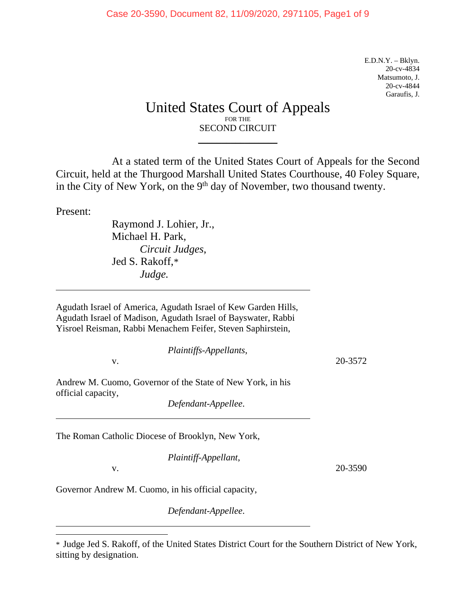E.D.N.Y. – Bklyn. 20-cv-4834 Matsumoto, J. 20-cv-4844 Garaufis, J.

# United States Court of Appeals FOR THE SECOND CIRCUIT

\_\_\_\_\_\_\_\_\_\_\_\_\_\_\_\_\_

At a stated term of the United States Court of Appeals for the Second Circuit, held at the Thurgood Marshall United States Courthouse, 40 Foley Square, in the City of New York, on the  $9<sup>th</sup>$  day of November, two thousand twenty.

Present:

Raymond J. Lohier, Jr., Michael H. Park, *Circuit Judges*, Jed S. Rakoff,[\\*](#page-0-0) *Judge.*

Agudath Israel of America, Agudath Israel of Kew Garden Hills, Agudath Israel of Madison, Agudath Israel of Bayswater, Rabbi Yisroel Reisman, Rabbi Menachem Feifer, Steven Saphirstein,

| Plaintiffs-Appellants,                                                           |         |
|----------------------------------------------------------------------------------|---------|
| v.                                                                               | 20-3572 |
| Andrew M. Cuomo, Governor of the State of New York, in his<br>official capacity, |         |
| Defendant-Appellee.                                                              |         |
| The Roman Catholic Diocese of Brooklyn, New York,                                |         |
| Plaintiff-Appellant,                                                             |         |
| v.                                                                               | 20-3590 |

Governor Andrew M. Cuomo, in his official capacity,

*Defendant-Appellee*.

<span id="page-0-0"></span><sup>\*</sup> Judge Jed S. Rakoff, of the United States District Court for the Southern District of New York, sitting by designation.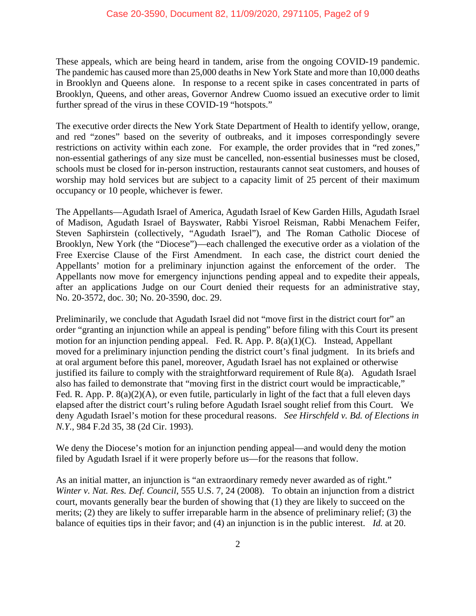These appeals, which are being heard in tandem, arise from the ongoing COVID-19 pandemic. The pandemic has caused more than 25,000 deaths in New York State and more than 10,000 deaths in Brooklyn and Queens alone. In response to a recent spike in cases concentrated in parts of Brooklyn, Queens, and other areas, Governor Andrew Cuomo issued an executive order to limit further spread of the virus in these COVID-19 "hotspots."

The executive order directs the New York State Department of Health to identify yellow, orange, and red "zones" based on the severity of outbreaks, and it imposes correspondingly severe restrictions on activity within each zone. For example, the order provides that in "red zones," non-essential gatherings of any size must be cancelled, non-essential businesses must be closed, schools must be closed for in-person instruction, restaurants cannot seat customers, and houses of worship may hold services but are subject to a capacity limit of 25 percent of their maximum occupancy or 10 people, whichever is fewer.

The Appellants—Agudath Israel of America, Agudath Israel of Kew Garden Hills, Agudath Israel of Madison, Agudath Israel of Bayswater, Rabbi Yisroel Reisman, Rabbi Menachem Feifer, Steven Saphirstein (collectively, "Agudath Israel"), and The Roman Catholic Diocese of Brooklyn, New York (the "Diocese")—each challenged the executive order as a violation of the Free Exercise Clause of the First Amendment. In each case, the district court denied the Appellants' motion for a preliminary injunction against the enforcement of the order. The Appellants now move for emergency injunctions pending appeal and to expedite their appeals, after an applications Judge on our Court denied their requests for an administrative stay, No. 20-3572, doc. 30; No. 20-3590, doc. 29.

Preliminarily, we conclude that Agudath Israel did not "move first in the district court for" an order "granting an injunction while an appeal is pending" before filing with this Court its present motion for an injunction pending appeal. Fed. R. App. P. 8(a)(1)(C). Instead, Appellant moved for a preliminary injunction pending the district court's final judgment. In its briefs and at oral argument before this panel, moreover, Agudath Israel has not explained or otherwise justified its failure to comply with the straightforward requirement of Rule 8(a). Agudath Israel also has failed to demonstrate that "moving first in the district court would be impracticable," Fed. R. App. P. 8(a)(2)(A), or even futile, particularly in light of the fact that a full eleven days elapsed after the district court's ruling before Agudath Israel sought relief from this Court. We deny Agudath Israel's motion for these procedural reasons. *See Hirschfeld v. Bd. of Elections in N.Y.*, 984 F.2d 35, 38 (2d Cir. 1993).

We deny the Diocese's motion for an injunction pending appeal—and would deny the motion filed by Agudath Israel if it were properly before us—for the reasons that follow.

As an initial matter, an injunction is "an extraordinary remedy never awarded as of right." *Winter v. Nat. Res. Def. Council*, 555 U.S. 7, 24 (2008). To obtain an injunction from a district court, movants generally bear the burden of showing that (1) they are likely to succeed on the merits; (2) they are likely to suffer irreparable harm in the absence of preliminary relief; (3) the balance of equities tips in their favor; and (4) an injunction is in the public interest. *Id.* at 20.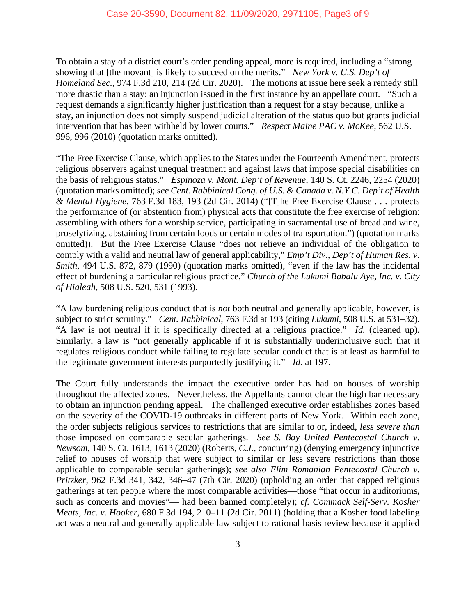To obtain a stay of a district court's order pending appeal, more is required, including a "strong showing that [the movant] is likely to succeed on the merits." *New York v. U.S. Dep't of Homeland Sec.*, 974 F.3d 210, 214 (2d Cir. 2020). The motions at issue here seek a remedy still more drastic than a stay: an injunction issued in the first instance by an appellate court. "Such a request demands a significantly higher justification than a request for a stay because, unlike a stay, an injunction does not simply suspend judicial alteration of the status quo but grants judicial intervention that has been withheld by lower courts." *Respect Maine PAC v. McKee*, 562 U.S. 996, 996 (2010) (quotation marks omitted).

"The Free Exercise Clause, which applies to the States under the Fourteenth Amendment, protects religious observers against unequal treatment and against laws that impose special disabilities on the basis of religious status." *Espinoza v. Mont. Dep't of Revenue*, 140 S. Ct. 2246, 2254 (2020) (quotation marks omitted); *see Cent. Rabbinical Cong. of U.S. & Canada v. N.Y.C. Dep't of Health & Mental Hygiene*, 763 F.3d 183, 193 (2d Cir. 2014) ("[T]he Free Exercise Clause . . . protects the performance of (or abstention from) physical acts that constitute the free exercise of religion: assembling with others for a worship service, participating in sacramental use of bread and wine, proselytizing, abstaining from certain foods or certain modes of transportation.") (quotation marks omitted)). But the Free Exercise Clause "does not relieve an individual of the obligation to comply with a valid and neutral law of general applicability," *Emp't Div., Dep't of Human Res. v. Smith*, 494 U.S. 872, 879 (1990) (quotation marks omitted), "even if the law has the incidental effect of burdening a particular religious practice," *Church of the Lukumi Babalu Aye, Inc. v. City of Hialeah*, 508 U.S. 520, 531 (1993).

"A law burdening religious conduct that is *not* both neutral and generally applicable, however, is subject to strict scrutiny." *Cent. Rabbinical*, 763 F.3d at 193 (citing *Lukumi*, 508 U.S. at 531–32). "A law is not neutral if it is specifically directed at a religious practice." *Id.* (cleaned up). Similarly, a law is "not generally applicable if it is substantially underinclusive such that it regulates religious conduct while failing to regulate secular conduct that is at least as harmful to the legitimate government interests purportedly justifying it." *Id.* at 197.

The Court fully understands the impact the executive order has had on houses of worship throughout the affected zones. Nevertheless, the Appellants cannot clear the high bar necessary to obtain an injunction pending appeal. The challenged executive order establishes zones based on the severity of the COVID-19 outbreaks in different parts of New York. Within each zone, the order subjects religious services to restrictions that are similar to or, indeed, *less severe than* those imposed on comparable secular gatherings. *See S. Bay United Pentecostal Church v. Newsom*, 140 S. Ct. 1613, 1613 (2020) (Roberts, *C.J.*, concurring) (denying emergency injunctive relief to houses of worship that were subject to similar or less severe restrictions than those applicable to comparable secular gatherings); *see also Elim Romanian Pentecostal Church v. Pritzker*, 962 F.3d 341, 342, 346–47 (7th Cir. 2020) (upholding an order that capped religious gatherings at ten people where the most comparable activities—those "that occur in auditoriums, such as concerts and movies"— had been banned completely); *cf. Commack Self-Serv. Kosher Meats, Inc. v. Hooker*, 680 F.3d 194, 210–11 (2d Cir. 2011) (holding that a Kosher food labeling act was a neutral and generally applicable law subject to rational basis review because it applied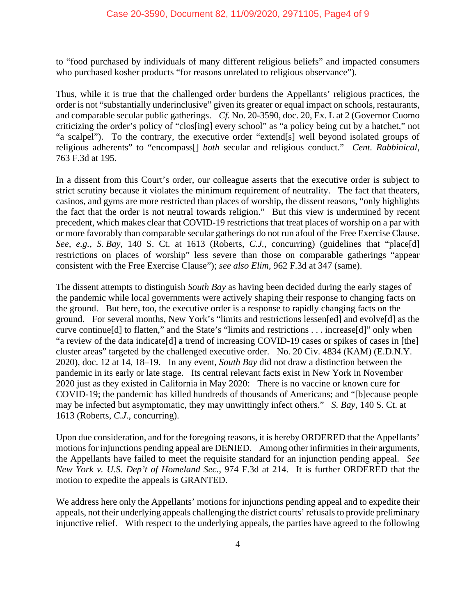to "food purchased by individuals of many different religious beliefs" and impacted consumers who purchased kosher products "for reasons unrelated to religious observance").

Thus, while it is true that the challenged order burdens the Appellants' religious practices, the order is not "substantially underinclusive" given its greater or equal impact on schools, restaurants, and comparable secular public gatherings. *Cf.* No. 20-3590, doc. 20, Ex. L at 2 (Governor Cuomo criticizing the order's policy of "clos[ing] every school" as "a policy being cut by a hatchet," not "a scalpel"). To the contrary, the executive order "extend[s] well beyond isolated groups of religious adherents" to "encompass[] *both* secular and religious conduct." *Cent. Rabbinical*, 763 F.3d at 195.

In a dissent from this Court's order, our colleague asserts that the executive order is subject to strict scrutiny because it violates the minimum requirement of neutrality. The fact that theaters, casinos, and gyms are more restricted than places of worship, the dissent reasons, "only highlights the fact that the order is not neutral towards religion." But this view is undermined by recent precedent, which makes clear that COVID-19 restrictions that treat places of worship on a par with or more favorably than comparable secular gatherings do not run afoul of the Free Exercise Clause. *See, e.g.*, *S. Bay*, 140 S. Ct. at 1613 (Roberts, *C.J.*, concurring) (guidelines that "place[d] restrictions on places of worship" less severe than those on comparable gatherings "appear consistent with the Free Exercise Clause"); *see also Elim*, 962 F.3d at 347 (same).

The dissent attempts to distinguish *South Bay* as having been decided during the early stages of the pandemic while local governments were actively shaping their response to changing facts on the ground. But here, too, the executive order is a response to rapidly changing facts on the ground. For several months, New York's "limits and restrictions lessen[ed] and evolve[d] as the curve continue[d] to flatten," and the State's "limits and restrictions . . . increase[d]" only when "a review of the data indicate[d] a trend of increasing COVID-19 cases or spikes of cases in [the] cluster areas" targeted by the challenged executive order. No. 20 Civ. 4834 (KAM) (E.D.N.Y. 2020), doc. 12 at 14, 18–19. In any event, *South Bay* did not draw a distinction between the pandemic in its early or late stage. Its central relevant facts exist in New York in November 2020 just as they existed in California in May 2020: There is no vaccine or known cure for COVID-19; the pandemic has killed hundreds of thousands of Americans; and "[b]ecause people may be infected but asymptomatic, they may unwittingly infect others." *S. Bay*, 140 S. Ct. at 1613 (Roberts, *C.J.*, concurring).

Upon due consideration, and for the foregoing reasons, it is hereby ORDERED that the Appellants' motions for injunctions pending appeal are DENIED. Among other infirmities in their arguments, the Appellants have failed to meet the requisite standard for an injunction pending appeal. *See New York v. U.S. Dep't of Homeland Sec.*, 974 F.3d at 214. It is further ORDERED that the motion to expedite the appeals is GRANTED.

We address here only the Appellants' motions for injunctions pending appeal and to expedite their appeals, not their underlying appeals challenging the district courts' refusals to provide preliminary injunctive relief. With respect to the underlying appeals, the parties have agreed to the following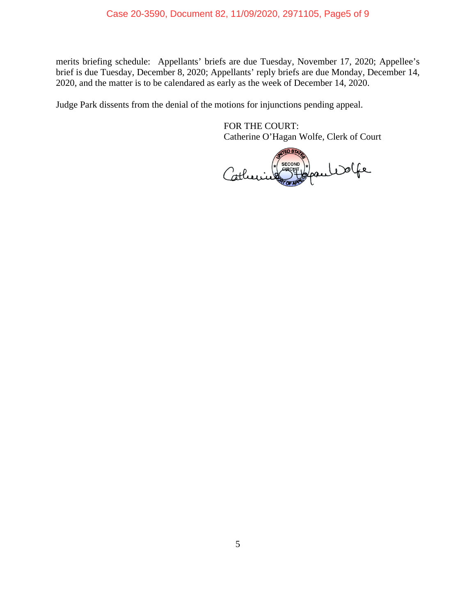merits briefing schedule: Appellants' briefs are due Tuesday, November 17, 2020; Appellee's brief is due Tuesday, December 8, 2020; Appellants' reply briefs are due Monday, December 14, 2020, and the matter is to be calendared as early as the week of December 14, 2020.

Judge Park dissents from the denial of the motions for injunctions pending appeal.

FOR THE COURT: Catherine O'Hagan Wolfe, Clerk of Court

 $EDST$ SECOND ) COLLEGE Catherine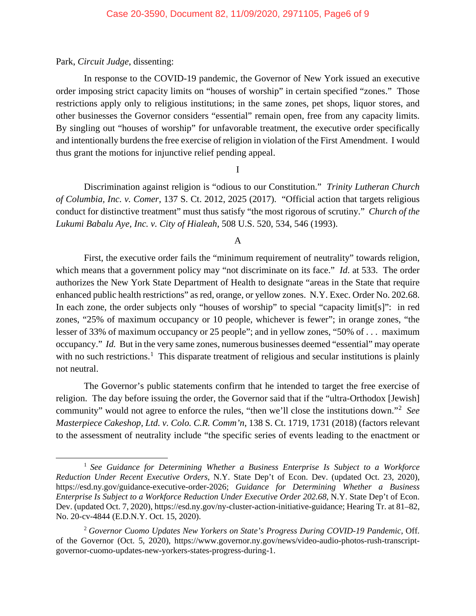## Park, *Circuit Judge*, dissenting:

In response to the COVID-19 pandemic, the Governor of New York issued an executive order imposing strict capacity limits on "houses of worship" in certain specified "zones." Those restrictions apply only to religious institutions; in the same zones, pet shops, liquor stores, and other businesses the Governor considers "essential" remain open, free from any capacity limits. By singling out "houses of worship" for unfavorable treatment, the executive order specifically and intentionally burdens the free exercise of religion in violation of the First Amendment. I would thus grant the motions for injunctive relief pending appeal.

## I

Discrimination against religion is "odious to our Constitution." *Trinity Lutheran Church of Columbia, Inc. v. Comer*, 137 S. Ct. 2012, 2025 (2017). "Official action that targets religious conduct for distinctive treatment" must thus satisfy "the most rigorous of scrutiny." *Church of the Lukumi Babalu Aye, Inc. v. City of Hialeah*, 508 U.S. 520, 534, 546 (1993).

#### A

First, the executive order fails the "minimum requirement of neutrality" towards religion, which means that a government policy may "not discriminate on its face." *Id*. at 533. The order authorizes the New York State Department of Health to designate "areas in the State that require enhanced public health restrictions" as red, orange, or yellow zones. N.Y. Exec. Order No. 202.68. In each zone, the order subjects only "houses of worship" to special "capacity limit[s]": in red zones, "25% of maximum occupancy or 10 people, whichever is fewer"; in orange zones, "the lesser of 33% of maximum occupancy or 25 people"; and in yellow zones, "50% of . . . maximum occupancy." *Id.* But in the very same zones, numerous businesses deemed "essential" may operate with no such restrictions.<sup>[1](#page-5-0)</sup> This disparate treatment of religious and secular institutions is plainly not neutral.

The Governor's public statements confirm that he intended to target the free exercise of religion. The day before issuing the order, the Governor said that if the "ultra-Orthodox [Jewish] community" would not agree to enforce the rules, "then we'll close the institutions down."[2](#page-5-1) *See Masterpiece Cakeshop, Ltd. v. Colo. C.R. Comm'n*, 138 S. Ct. 1719, 1731 (2018) (factors relevant to the assessment of neutrality include "the specific series of events leading to the enactment or

<span id="page-5-0"></span><sup>1</sup> *See Guidance for Determining Whether a Business Enterprise Is Subject to a Workforce Reduction Under Recent Executive Orders*, N.Y. State Dep't of Econ. Dev. (updated Oct. 23, 2020), https://esd.ny.gov/guidance-executive-order-2026; *Guidance for Determining Whether a Business Enterprise Is Subject to a Workforce Reduction Under Executive Order 202.68*, N.Y. State Dep't of Econ. Dev. (updated Oct. 7, 2020), https://esd.ny.gov/ny-cluster-action-initiative-guidance; Hearing Tr. at 81–82, No. 20-cv-4844 (E.D.N.Y. Oct. 15, 2020).

<span id="page-5-1"></span><sup>2</sup> *Governor Cuomo Updates New Yorkers on State's Progress During COVID-19 Pandemic*, Off. of the Governor (Oct. 5, 2020), https://www.governor.ny.gov/news/video-audio-photos-rush-transcriptgovernor-cuomo-updates-new-yorkers-states-progress-during-1.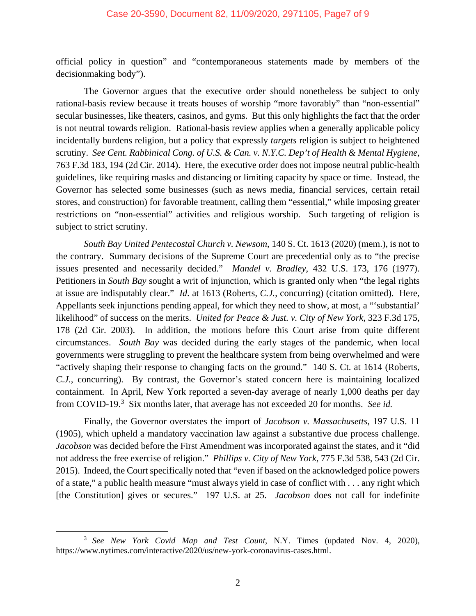official policy in question" and "contemporaneous statements made by members of the decisionmaking body").

The Governor argues that the executive order should nonetheless be subject to only rational-basis review because it treats houses of worship "more favorably" than "non-essential" secular businesses, like theaters, casinos, and gyms. But this only highlights the fact that the order is not neutral towards religion. Rational-basis review applies when a generally applicable policy incidentally burdens religion, but a policy that expressly *targets* religion is subject to heightened scrutiny. *See Cent. Rabbinical Cong. of U.S. & Can. v. N.Y.C. Dep't of Health & Mental Hygiene*, 763 F.3d 183, 194 (2d Cir. 2014). Here, the executive order does not impose neutral public-health guidelines, like requiring masks and distancing or limiting capacity by space or time. Instead, the Governor has selected some businesses (such as news media, financial services, certain retail stores, and construction) for favorable treatment, calling them "essential," while imposing greater restrictions on "non-essential" activities and religious worship. Such targeting of religion is subject to strict scrutiny.

*South Bay United Pentecostal Church v. Newsom*, 140 S. Ct. 1613 (2020) (mem.), is not to the contrary. Summary decisions of the Supreme Court are precedential only as to "the precise issues presented and necessarily decided." *Mandel v. Bradley*, 432 U.S. 173, 176 (1977). Petitioners in *South Bay* sought a writ of injunction, which is granted only when "the legal rights at issue are indisputably clear." *Id*. at 1613 (Roberts, *C.J.*, concurring) (citation omitted). Here, Appellants seek injunctions pending appeal, for which they need to show, at most, a "'substantial' likelihood" of success on the merits. *United for Peace & Just. v. City of New York*, 323 F.3d 175, 178 (2d Cir. 2003). In addition, the motions before this Court arise from quite different circumstances. *South Bay* was decided during the early stages of the pandemic, when local governments were struggling to prevent the healthcare system from being overwhelmed and were "actively shaping their response to changing facts on the ground." 140 S. Ct. at 1614 (Roberts, *C.J.*, concurring). By contrast, the Governor's stated concern here is maintaining localized containment. In April, New York reported a seven-day average of nearly 1,000 deaths per day from COVID-19.<sup>[3](#page-6-0)</sup> Six months later, that average has not exceeded 20 for months. See id.

Finally, the Governor overstates the import of *Jacobson v. Massachusetts*, 197 U.S. 11 (1905), which upheld a mandatory vaccination law against a substantive due process challenge. *Jacobson* was decided before the First Amendment was incorporated against the states, and it "did not address the free exercise of religion." *Phillips v. City of New York*, 775 F.3d 538, 543 (2d Cir. 2015). Indeed, the Court specifically noted that "even if based on the acknowledged police powers of a state," a public health measure "must always yield in case of conflict with . . . any right which [the Constitution] gives or secures." 197 U.S. at 25. *Jacobson* does not call for indefinite

<span id="page-6-0"></span><sup>3</sup> *See New York Covid Map and Test Count*, N.Y. Times (updated Nov. 4, 2020), https://www.nytimes.com/interactive/2020/us/new-york-coronavirus-cases.html.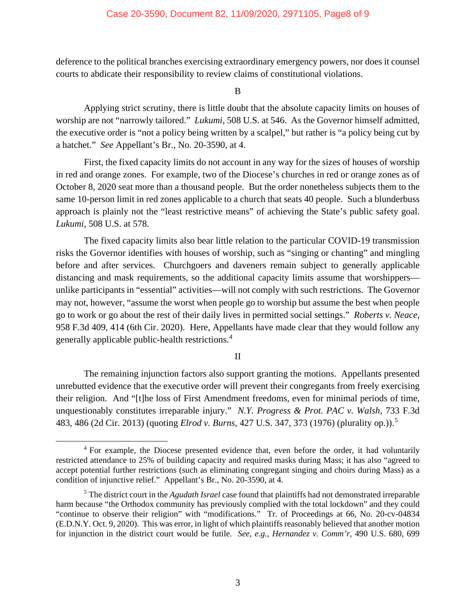deference to the political branches exercising extraordinary emergency powers, nor does it counsel courts to abdicate their responsibility to review claims of constitutional violations.

B

Applying strict scrutiny, there is little doubt that the absolute capacity limits on houses of worship are not "narrowly tailored." *Lukumi*, 508 U.S. at 546. As the Governor himself admitted, the executive order is "not a policy being written by a scalpel," but rather is "a policy being cut by a hatchet." *See* Appellant's Br., No. 20-3590, at 4.

First, the fixed capacity limits do not account in any way for the sizes of houses of worship in red and orange zones. For example, two of the Diocese's churches in red or orange zones as of October 8, 2020 seat more than a thousand people. But the order nonetheless subjects them to the same 10-person limit in red zones applicable to a church that seats 40 people. Such a blunderbuss approach is plainly not the "least restrictive means" of achieving the State's public safety goal. *Lukumi*, 508 U.S. at 578.

The fixed capacity limits also bear little relation to the particular COVID-19 transmission risks the Governor identifies with houses of worship, such as "singing or chanting" and mingling before and after services. Churchgoers and daveners remain subject to generally applicable distancing and mask requirements, so the additional capacity limits assume that worshippers unlike participants in "essential" activities—will not comply with such restrictions. The Governor may not, however, "assume the worst when people go to worship but assume the best when people go to work or go about the rest of their daily lives in permitted social settings." *Roberts v. Neace*, 958 F.3d 409, 414 (6th Cir. 2020). Here, Appellants have made clear that they would follow any generally applicable public-health restrictions.[4](#page-7-0)

## II

The remaining injunction factors also support granting the motions. Appellants presented unrebutted evidence that the executive order will prevent their congregants from freely exercising their religion. And "[t]he loss of First Amendment freedoms, even for minimal periods of time, unquestionably constitutes irreparable injury." *N.Y. Progress & Prot. PAC v. Walsh*, 733 F.3d 483, 486 (2d Cir. 2013) (quoting *Elrod v. Burns*, 427 U.S. 347, 373 (1976) (plurality op.)). [5](#page-7-1)

<span id="page-7-0"></span><sup>&</sup>lt;sup>4</sup> For example, the Diocese presented evidence that, even before the order, it had voluntarily restricted attendance to 25% of building capacity and required masks during Mass; it has also "agreed to accept potential further restrictions (such as eliminating congregant singing and choirs during Mass) as a condition of injunctive relief." Appellant's Br., No. 20-3590, at 4.

<span id="page-7-1"></span><sup>5</sup> The district court in the *Agudath Israel* case found that plaintiffs had not demonstrated irreparable harm because "the Orthodox community has previously complied with the total lockdown" and they could "continue to observe their religion" with "modifications." Tr. of Proceedings at 66, No. 20-cv-04834 (E.D.N.Y. Oct. 9, 2020). This was error, in light of which plaintiffs reasonably believed that another motion for injunction in the district court would be futile. *See, e.g.*, *Hernandez v. Comm'r*, 490 U.S. 680, 699